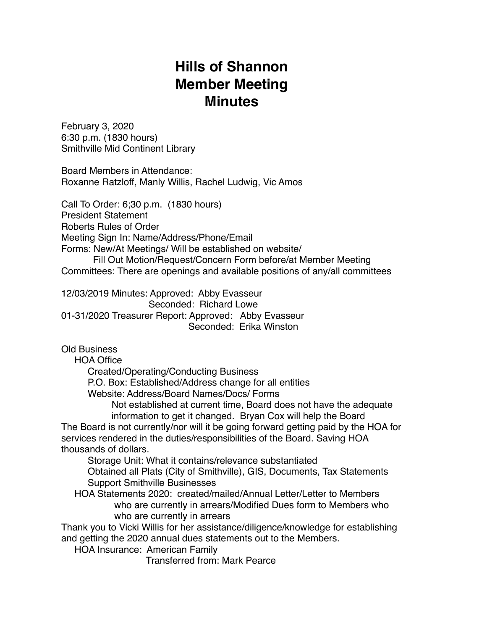## **Hills of Shannon Member Meeting Minutes**

February 3, 2020 6:30 p.m. (1830 hours) Smithville Mid Continent Library

Board Members in Attendance: Roxanne Ratzloff, Manly Willis, Rachel Ludwig, Vic Amos

Call To Order: 6;30 p.m. (1830 hours) President Statement Roberts Rules of Order Meeting Sign In: Name/Address/Phone/Email Forms: New/At Meetings/ Will be established on website/ Fill Out Motion/Request/Concern Form before/at Member Meeting Committees: There are openings and available positions of any/all committees

12/03/2019 Minutes: Approved: Abby Evasseur Seconded: Richard Lowe 01-31/2020 Treasurer Report: Approved: Abby Evasseur Seconded: Erika Winston

Old Business

HOA Office

Created/Operating/Conducting Business

P.O. Box: Established/Address change for all entities

Website: Address/Board Names/Docs/ Forms

 Not established at current time, Board does not have the adequate information to get it changed. Bryan Cox will help the Board

The Board is not currently/nor will it be going forward getting paid by the HOA for services rendered in the duties/responsibilities of the Board. Saving HOA thousands of dollars.

Storage Unit: What it contains/relevance substantiated

 Obtained all Plats (City of Smithville), GIS, Documents, Tax Statements Support Smithville Businesses

 HOA Statements 2020: created/mailed/Annual Letter/Letter to Members who are currently in arrears/Modified Dues form to Members who who are currently in arrears

Thank you to Vicki Willis for her assistance/diligence/knowledge for establishing and getting the 2020 annual dues statements out to the Members.

HOA Insurance: American Family

Transferred from: Mark Pearce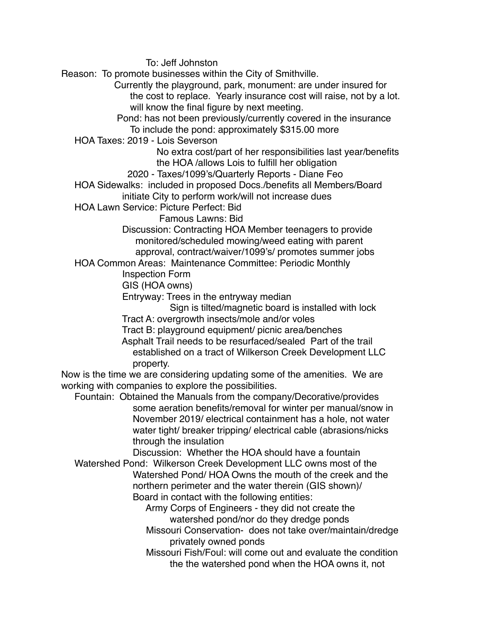To: Jeff Johnston

Reason: To promote businesses within the City of Smithville.

 Currently the playground, park, monument: are under insured for the cost to replace. Yearly insurance cost will raise, not by a lot. will know the final figure by next meeting.

 Pond: has not been previously/currently covered in the insurance To include the pond: approximately \$315.00 more

HOA Taxes: 2019 - Lois Severson

 No extra cost/part of her responsibilities last year/benefits the HOA /allows Lois to fulfill her obligation

2020 - Taxes/1099's/Quarterly Reports - Diane Feo

 HOA Sidewalks: included in proposed Docs./benefits all Members/Board initiate City to perform work/will not increase dues

HOA Lawn Service: Picture Perfect: Bid

Famous Lawns: Bid

 Discussion: Contracting HOA Member teenagers to provide monitored/scheduled mowing/weed eating with parent approval, contract/waiver/1099's/ promotes summer jobs

HOA Common Areas: Maintenance Committee: Periodic Monthly

Inspection Form

GIS (HOA owns)

Entryway: Trees in the entryway median

Sign is tilted/magnetic board is installed with lock

Tract A: overgrowth insects/mole and/or voles

Tract B: playground equipment/ picnic area/benches

 Asphalt Trail needs to be resurfaced/sealed Part of the trail established on a tract of Wilkerson Creek Development LLC property.

Now is the time we are considering updating some of the amenities. We are working with companies to explore the possibilities.

 Fountain: Obtained the Manuals from the company/Decorative/provides some aeration benefits/removal for winter per manual/snow in November 2019/ electrical containment has a hole, not water water tight/ breaker tripping/ electrical cable (abrasions/nicks through the insulation

Discussion: Whether the HOA should have a fountain

 Watershed Pond: Wilkerson Creek Development LLC owns most of the Watershed Pond/ HOA Owns the mouth of the creek and the northern perimeter and the water therein (GIS shown)/ Board in contact with the following entities:

 Army Corps of Engineers - they did not create the watershed pond/nor do they dredge ponds

 Missouri Conservation- does not take over/maintain/dredge privately owned ponds

 Missouri Fish/Foul: will come out and evaluate the condition the the watershed pond when the HOA owns it, not